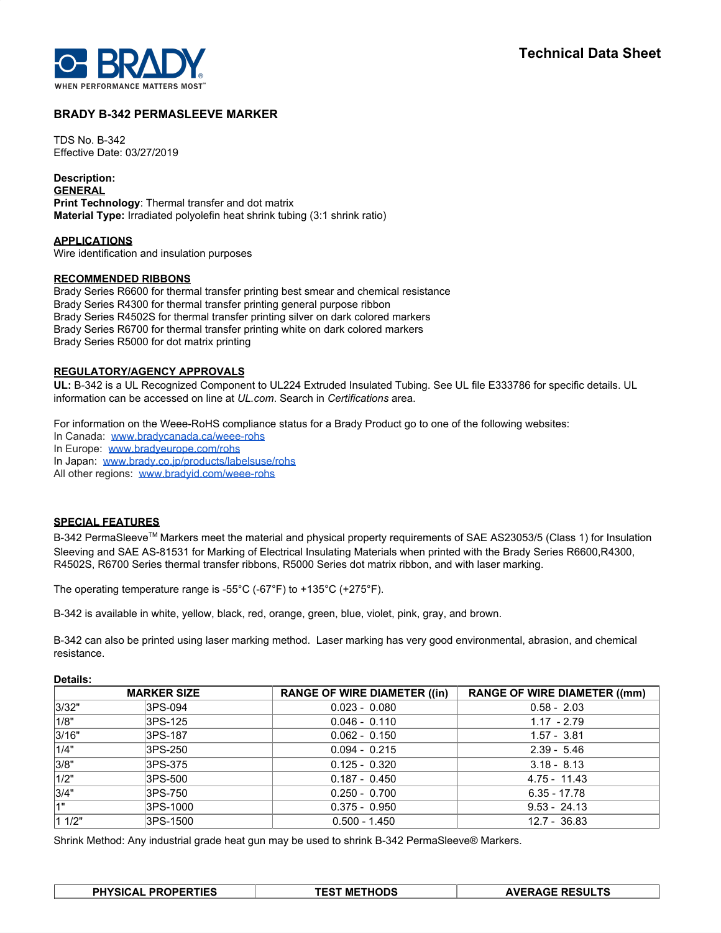

# **BRADY B-342 PERMASLEEVE MARKER**

TDS No. B-342 Effective Date: 03/27/2019

**Description: GENERAL Print Technology**: Thermal transfer and dot matrix **Material Type:** Irradiated polyolefin heat shrink tubing (3:1 shrink ratio)

**APPLICATIONS** Wire identification and insulation purposes

### **RECOMMENDED RIBBONS**

Brady Series R6600 for thermal transfer printing best smear and chemical resistance Brady Series R4300 for thermal transfer printing general purpose ribbon Brady Series R4502S for thermal transfer printing silver on dark colored markers Brady Series R6700 for thermal transfer printing white on dark colored markers Brady Series R5000 for dot matrix printing

### **REGULATORY/AGENCY APPROVALS**

**UL:** B-342 is a UL Recognized Component to UL224 Extruded Insulated Tubing. See UL file E333786 for specific details. UL information can be accessed on line at *UL.com*. Search in *Certifications* area.

For information on the Weee-RoHS compliance status for a Brady Product go to one of the following websites:

- In Canada: [www.bradycanada.ca/weee-rohs](http://www.bradycanada.ca/weee-rohs)
- In Europe: [www.bradyeurope.com/rohs](http://www.bradyeurope.com/rohs)

In Japan: www.[brady.co.jp/products/labelsuse/rohs](https://brady.co.jp/products/labelsuse/rohs)

All other regions: [www.bradyid.com/weee-rohs](http://www.bradyid.com/weee-rohs)

# **SPECIAL FEATURES**

B-342 PermaSleeve<sup>™</sup> Markers meet the material and physical property requirements of SAE AS23053/5 (Class 1) for Insulation Sleeving and SAE AS-81531 for Marking of Electrical Insulating Materials when printed with the Brady Series R6600,R4300, R4502S, R6700 Series thermal transfer ribbons, R5000 Series dot matrix ribbon, and with laser marking.

The operating temperature range is -55°C (-67°F) to +135°C (+275°F).

B-342 is available in white, yellow, black, red, orange, green, blue, violet, pink, gray, and brown.

B-342 can also be printed using laser marking method. Laser marking has very good environmental, abrasion, and chemical resistance.

|   | - | ٠ |
|---|---|---|
| ш |   |   |

Г

|        | <b>MARKER SIZE</b> | <b>RANGE OF WIRE DIAMETER ((in)</b> | <b>RANGE OF WIRE DIAMETER ((mm)</b> |
|--------|--------------------|-------------------------------------|-------------------------------------|
| 3/32"  | 3PS-094            | $0.023 - 0.080$                     | $0.58 - 2.03$                       |
| 1/8"   | 3PS-125            | $0.046 - 0.110$                     | $1.17 - 2.79$                       |
| 3/16"  | 3PS-187            | $0.062 - 0.150$                     | $1.57 - 3.81$                       |
| 1/4"   | 3PS-250            | $0.094 - 0.215$                     | $2.39 - 5.46$                       |
| 3/8"   | 3PS-375            | $0.125 - 0.320$                     | $3.18 - 8.13$                       |
| 1/2"   | 3PS-500            | $0.187 - 0.450$                     | 4.75 - 11.43                        |
| 3/4"   | 3PS-750            | $0.250 - 0.700$                     | $6.35 - 17.78$                      |
| l4"    | 3PS-1000           | $0.375 - 0.950$                     | $9.53 - 24.13$                      |
| 1 1/2" | 3PS-1500           | $0.500 - 1.450$                     | $12.7 - 36.83$                      |

Shrink Method: Any industrial grade heat gun may be used to shrink B-342 PermaSleeve® Markers.

| <b>PHYSICAL PROPERTIES</b> | <b>TEST METHODS</b> | <b>AVERAGE RESULTS</b> |
|----------------------------|---------------------|------------------------|
|                            |                     |                        |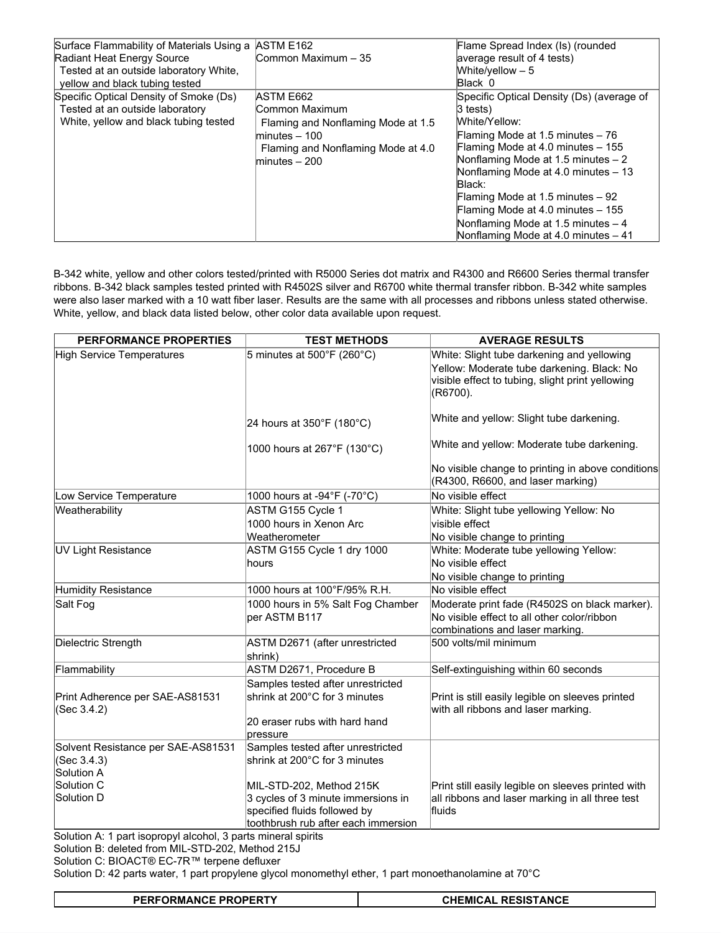| Surface Flammability of Materials Using a ASTM E162<br>Radiant Heat Energy Source<br>Tested at an outside laboratory White,<br>yellow and black tubing tested | Common Maximum - 35                                                                                                                           | Flame Spread Index (Is) (rounded<br>average result of 4 tests)<br>White/yellow $-5$<br>Black 0                                                                                                                                                                                                                                                                                               |
|---------------------------------------------------------------------------------------------------------------------------------------------------------------|-----------------------------------------------------------------------------------------------------------------------------------------------|----------------------------------------------------------------------------------------------------------------------------------------------------------------------------------------------------------------------------------------------------------------------------------------------------------------------------------------------------------------------------------------------|
| Specific Optical Density of Smoke (Ds)<br>Tested at an outside laboratory<br>White, yellow and black tubing tested                                            | ASTM E662<br>Common Maximum<br>Flaming and Nonflaming Mode at 1.5<br>$minutes - 100$<br>Flaming and Nonflaming Mode at 4.0<br>$minutes - 200$ | Specific Optical Density (Ds) (average of<br>3 tests)<br>White/Yellow:<br>Flaming Mode at 1.5 minutes - 76<br>Flaming Mode at 4.0 minutes - 155<br>Nonflaming Mode at 1.5 minutes - 2<br>Nonflaming Mode at 4.0 minutes - 13<br>Black:<br>Flaming Mode at 1.5 minutes - 92<br>Flaming Mode at 4.0 minutes - 155<br>Nonflaming Mode at 1.5 minutes - 4<br>Nonflaming Mode at 4.0 minutes - 41 |

B-342 white, yellow and other colors tested/printed with R5000 Series dot matrix and R4300 and R6600 Series thermal transfer ribbons. B-342 black samples tested printed with R4502S silver and R6700 white thermal transfer ribbon. B-342 white samples were also laser marked with a 10 watt fiber laser. Results are the same with all processes and ribbons unless stated otherwise. White, yellow, and black data listed below, other color data available upon request.

| PERFORMANCE PROPERTIES                                          | <b>TEST METHODS</b>                                                                                                                   | <b>AVERAGE RESULTS</b>                                                                                                                                   |
|-----------------------------------------------------------------|---------------------------------------------------------------------------------------------------------------------------------------|----------------------------------------------------------------------------------------------------------------------------------------------------------|
| <b>High Service Temperatures</b>                                | 5 minutes at $500^{\circ}$ F (260 $^{\circ}$ C)                                                                                       | White: Slight tube darkening and yellowing<br>Yellow: Moderate tube darkening. Black: No<br>visible effect to tubing, slight print yellowing<br>(R6700). |
|                                                                 | 24 hours at 350°F (180°C)                                                                                                             | White and yellow: Slight tube darkening.                                                                                                                 |
|                                                                 | 1000 hours at 267°F (130°C)                                                                                                           | White and yellow: Moderate tube darkening.                                                                                                               |
|                                                                 |                                                                                                                                       | No visible change to printing in above conditions<br>(R4300, R6600, and laser marking)                                                                   |
| Low Service Temperature                                         | 1000 hours at -94°F (-70°C)                                                                                                           | No visible effect                                                                                                                                        |
| Weatherability                                                  | ASTM G155 Cycle 1<br>1000 hours in Xenon Arc                                                                                          | White: Slight tube yellowing Yellow: No<br>visible effect                                                                                                |
|                                                                 | Weatherometer                                                                                                                         | No visible change to printing                                                                                                                            |
| UV Light Resistance                                             | ASTM G155 Cycle 1 dry 1000<br>hours                                                                                                   | White: Moderate tube yellowing Yellow:<br>No visible effect                                                                                              |
|                                                                 |                                                                                                                                       | No visible change to printing                                                                                                                            |
| Humidity Resistance                                             | 1000 hours at 100°F/95% R.H.                                                                                                          | No visible effect                                                                                                                                        |
| Salt Fog                                                        | 1000 hours in 5% Salt Fog Chamber<br>per ASTM B117                                                                                    | Moderate print fade (R4502S on black marker).<br>No visible effect to all other color/ribbon<br>combinations and laser marking.                          |
| Dielectric Strength                                             | ASTM D2671 (after unrestricted<br>shrink)                                                                                             | 500 volts/mil minimum                                                                                                                                    |
| Flammability                                                    | ASTM D2671, Procedure B                                                                                                               | Self-extinguishing within 60 seconds                                                                                                                     |
| Print Adherence per SAE-AS81531<br>(Sec 3.4.2)                  | Samples tested after unrestricted<br>shrink at 200°C for 3 minutes<br>20 eraser rubs with hard hand<br>pressure                       | Print is still easily legible on sleeves printed<br>with all ribbons and laser marking.                                                                  |
| Solvent Resistance per SAE-AS81531<br>(Sec 3.4.3)<br>Solution A | Samples tested after unrestricted<br>shrink at 200°C for 3 minutes                                                                    |                                                                                                                                                          |
| Solution C<br><b>Solution D</b>                                 | MIL-STD-202, Method 215K<br>3 cycles of 3 minute immersions in<br>specified fluids followed by<br>toothbrush rub after each immersion | Print still easily legible on sleeves printed with<br>all ribbons and laser marking in all three test<br>fluids                                          |

Solution A: 1 part isopropyl alcohol, 3 parts mineral spirits

Solution B: deleted from MIL-STD-202, Method 215J

Solution C: BIOACT® EC-7R™ terpene defluxer

Solution D: 42 parts water, 1 part propylene glycol monomethyl ether, 1 part monoethanolamine at 70°C

| <b>PERFORMANCE PROPERTY</b> | <b>CHEMICAL RESISTANCE</b> |
|-----------------------------|----------------------------|
|-----------------------------|----------------------------|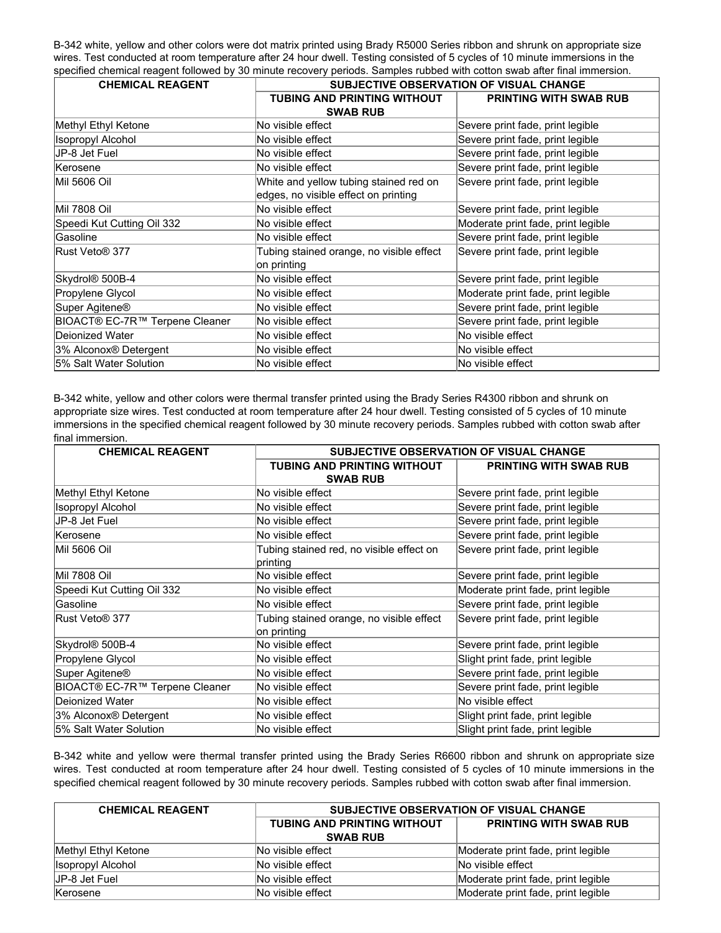B-342 white, yellow and other colors were dot matrix printed using Brady R5000 Series ribbon and shrunk on appropriate size wires. Test conducted at room temperature after 24 hour dwell. Testing consisted of 5 cycles of 10 minute immersions in the specified chemical reagent followed by 30 minute recovery periods. Samples rubbed with cotton swab after final immersion.

| <b>CHEMICAL REAGENT</b>        | <b>SUBJECTIVE OBSERVATION OF VISUAL CHANGE</b> |                                    |
|--------------------------------|------------------------------------------------|------------------------------------|
|                                | TUBING AND PRINTING WITHOUT                    | <b>PRINTING WITH SWAB RUB</b>      |
|                                | <b>SWAB RUB</b>                                |                                    |
| Methyl Ethyl Ketone            | No visible effect                              | Severe print fade, print legible   |
| Isopropyl Alcohol              | No visible effect                              | Severe print fade, print legible   |
| JP-8 Jet Fuel                  | No visible effect                              | Severe print fade, print legible   |
| lKerosene                      | No visible effect                              | Severe print fade, print legible   |
| <b>Mil 5606 Oil</b>            | White and yellow tubing stained red on         | Severe print fade, print legible   |
|                                | edges, no visible effect on printing           |                                    |
| <b>Mil 7808 Oil</b>            | No visible effect                              | Severe print fade, print legible   |
| Speedi Kut Cutting Oil 332     | No visible effect                              | Moderate print fade, print legible |
| Gasoline                       | No visible effect                              | Severe print fade, print legible   |
| Rust Veto® 377                 | Tubing stained orange, no visible effect       | Severe print fade, print legible   |
|                                | on printing                                    |                                    |
| Skydrol® 500B-4                | No visible effect                              | Severe print fade, print legible   |
| Propylene Glycol               | No visible effect                              | Moderate print fade, print legible |
| Super Agitene®                 | No visible effect                              | Severe print fade, print legible   |
| BIOACT® EC-7R™ Terpene Cleaner | No visible effect                              | Severe print fade, print legible   |
| Deionized Water                | No visible effect                              | No visible effect                  |
| 3% Alconox® Detergent          | No visible effect                              | No visible effect                  |
| 5% Salt Water Solution         | No visible effect                              | No visible effect                  |

B-342 white, yellow and other colors were thermal transfer printed using the Brady Series R4300 ribbon and shrunk on appropriate size wires. Test conducted at room temperature after 24 hour dwell. Testing consisted of 5 cycles of 10 minute immersions in the specified chemical reagent followed by 30 minute recovery periods. Samples rubbed with cotton swab after final immersion.

| <b>CHEMICAL REAGENT</b>               | <b>SUBJECTIVE OBSERVATION OF VISUAL CHANGE</b>          |                                    |  |
|---------------------------------------|---------------------------------------------------------|------------------------------------|--|
|                                       | <b>TUBING AND PRINTING WITHOUT</b>                      | <b>PRINTING WITH SWAB RUB</b>      |  |
|                                       | <b>SWAB RUB</b>                                         |                                    |  |
| Methyl Ethyl Ketone                   | No visible effect                                       | Severe print fade, print legible   |  |
| Isopropyl Alcohol                     | No visible effect                                       | Severe print fade, print legible   |  |
| JP-8 Jet Fuel                         | No visible effect                                       | Severe print fade, print legible   |  |
| <b>Kerosene</b>                       | No visible effect                                       | Severe print fade, print legible   |  |
| IMil 5606 Oil                         | Tubing stained red, no visible effect on<br>printing    | Severe print fade, print legible   |  |
| <b>Mil 7808 Oil</b>                   | No visible effect                                       | Severe print fade, print legible   |  |
| Speedi Kut Cutting Oil 332            | No visible effect                                       | Moderate print fade, print legible |  |
| lGasoline                             | No visible effect                                       | Severe print fade, print legible   |  |
| Rust Veto® 377                        | Tubing stained orange, no visible effect<br>on printing | Severe print fade, print legible   |  |
| Skydrol® 500B-4                       | No visible effect                                       | Severe print fade, print legible   |  |
| Propylene Glycol                      | No visible effect                                       | Slight print fade, print legible   |  |
| Super Agitene®                        | No visible effect                                       | Severe print fade, print legible   |  |
| <b>BIOACT® EC-7R™ Terpene Cleaner</b> | No visible effect                                       | Severe print fade, print legible   |  |
| Deionized Water                       | No visible effect                                       | No visible effect                  |  |
| 3% Alconox® Detergent                 | No visible effect                                       | Slight print fade, print legible   |  |
| 5% Salt Water Solution                | No visible effect                                       | Slight print fade, print legible   |  |

B-342 white and yellow were thermal transfer printed using the Brady Series R6600 ribbon and shrunk on appropriate size wires. Test conducted at room temperature after 24 hour dwell. Testing consisted of 5 cycles of 10 minute immersions in the specified chemical reagent followed by 30 minute recovery periods. Samples rubbed with cotton swab after final immersion.

| <b>CHEMICAL REAGENT</b>  | SUBJECTIVE OBSERVATION OF VISUAL CHANGE                             |                                    |
|--------------------------|---------------------------------------------------------------------|------------------------------------|
|                          | <b>TUBING AND PRINTING WITHOUT</b><br><b>PRINTING WITH SWAB RUB</b> |                                    |
|                          | <b>SWAB RUB</b>                                                     |                                    |
| Methyl Ethyl Ketone      | No visible effect                                                   | Moderate print fade, print legible |
| <b>Isopropyl Alcohol</b> | No visible effect                                                   | No visible effect                  |
| JP-8 Jet Fuel            | No visible effect                                                   | Moderate print fade, print legible |
| Kerosene                 | No visible effect                                                   | Moderate print fade, print legible |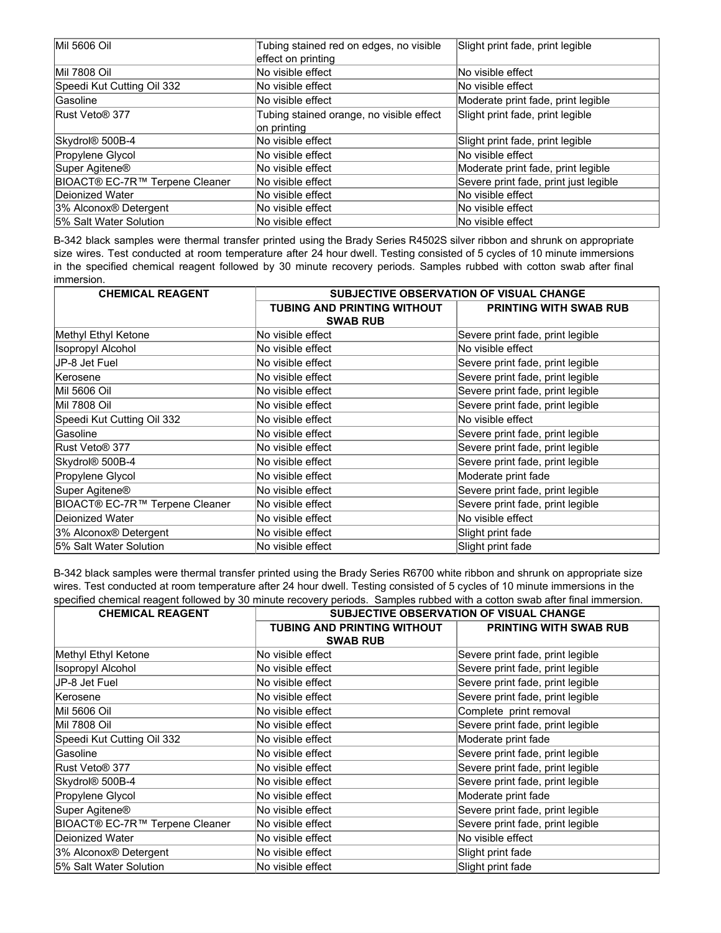| Mil 5606 Oil                          | Tubing stained red on edges, no visible  | Slight print fade, print legible      |
|---------------------------------------|------------------------------------------|---------------------------------------|
|                                       | effect on printing                       |                                       |
| <b>Mil 7808 Oil</b>                   | No visible effect                        | No visible effect                     |
| Speedi Kut Cutting Oil 332            | No visible effect                        | No visible effect                     |
| <b>Gasoline</b>                       | No visible effect                        | Moderate print fade, print legible    |
| Rust Veto® 377                        | Tubing stained orange, no visible effect | Slight print fade, print legible      |
|                                       | on printing                              |                                       |
| Skydrol <sup>®</sup> 500B-4           | No visible effect                        | Slight print fade, print legible      |
| Propylene Glycol                      | No visible effect                        | No visible effect                     |
| Super Agitene <sup>®</sup>            | No visible effect                        | Moderate print fade, print legible    |
| <b>BIOACT® EC-7R™ Terpene Cleaner</b> | No visible effect                        | Severe print fade, print just legible |
| Dejonized Water                       | No visible effect                        | No visible effect                     |
| 3% Alconox <sup>®</sup> Detergent     | No visible effect                        | No visible effect                     |
| 5% Salt Water Solution                | No visible effect                        | No visible effect                     |

B-342 black samples were thermal transfer printed using the Brady Series R4502S silver ribbon and shrunk on appropriate size wires. Test conducted at room temperature after 24 hour dwell. Testing consisted of 5 cycles of 10 minute immersions in the specified chemical reagent followed by 30 minute recovery periods. Samples rubbed with cotton swab after final immersion.

| <b>CHEMICAL REAGENT</b>               | <b>SUBJECTIVE OBSERVATION OF VISUAL CHANGE</b> |                                  |  |
|---------------------------------------|------------------------------------------------|----------------------------------|--|
|                                       | <b>TUBING AND PRINTING WITHOUT</b>             | <b>PRINTING WITH SWAB RUB</b>    |  |
|                                       | <b>SWAB RUB</b>                                |                                  |  |
| Methyl Ethyl Ketone                   | No visible effect                              | Severe print fade, print legible |  |
| <b>Isopropyl Alcohol</b>              | No visible effect                              | No visible effect                |  |
| JP-8 Jet Fuel                         | No visible effect                              | Severe print fade, print legible |  |
| lKerosene                             | No visible effect                              | Severe print fade, print legible |  |
| Mil 5606 Oil                          | No visible effect                              | Severe print fade, print legible |  |
| Mil 7808 Oil                          | No visible effect                              | Severe print fade, print legible |  |
| Speedi Kut Cutting Oil 332            | No visible effect                              | No visible effect                |  |
| Gasoline                              | No visible effect                              | Severe print fade, print legible |  |
| Rust Veto® 377                        | No visible effect                              | Severe print fade, print legible |  |
| Skydrol® 500B-4                       | No visible effect                              | Severe print fade, print legible |  |
| Propylene Glycol                      | No visible effect                              | Moderate print fade              |  |
| Super Agitene <sup>®</sup>            | No visible effect                              | Severe print fade, print legible |  |
| <b>BIOACT® EC-7R™ Terpene Cleaner</b> | No visible effect                              | Severe print fade, print legible |  |
| Deionized Water                       | No visible effect                              | No visible effect                |  |
| 3% Alconox® Detergent                 | No visible effect                              | Slight print fade                |  |
| 5% Salt Water Solution                | No visible effect                              | Slight print fade                |  |

B-342 black samples were thermal transfer printed using the Brady Series R6700 white ribbon and shrunk on appropriate size wires. Test conducted at room temperature after 24 hour dwell. Testing consisted of 5 cycles of 10 minute immersions in the specified chemical reagent followed by 30 minute recovery periods. Samples rubbed with a cotton swab after final immersion.

| <b>CHEMICAL REAGENT</b>               | <b>SUBJECTIVE OBSERVATION OF VISUAL CHANGE</b> |                                  |  |
|---------------------------------------|------------------------------------------------|----------------------------------|--|
|                                       | TUBING AND PRINTING WITHOUT                    | <b>PRINTING WITH SWAB RUB</b>    |  |
|                                       | <b>SWAB RUB</b>                                |                                  |  |
| Methyl Ethyl Ketone                   | No visible effect                              | Severe print fade, print legible |  |
| <b>Isopropyl Alcohol</b>              | No visible effect                              | Severe print fade, print legible |  |
| JP-8 Jet Fuel                         | No visible effect                              | Severe print fade, print legible |  |
| Kerosene                              | No visible effect                              | Severe print fade, print legible |  |
| <b>Mil 5606 Oil</b>                   | No visible effect                              | Complete print removal           |  |
| <b>Mil 7808 Oil</b>                   | No visible effect                              | Severe print fade, print legible |  |
| Speedi Kut Cutting Oil 332            | No visible effect                              | Moderate print fade              |  |
| Gasoline                              | No visible effect                              | Severe print fade, print legible |  |
| Rust Veto <sup>®</sup> 377            | No visible effect                              | Severe print fade, print legible |  |
| Skydrol <sup>®</sup> 500B-4           | No visible effect                              | Severe print fade, print legible |  |
| Propylene Glycol                      | No visible effect                              | Moderate print fade              |  |
| Super Agitene®                        | No visible effect                              | Severe print fade, print legible |  |
| <b>BIOACT® EC-7R™ Terpene Cleaner</b> | No visible effect                              | Severe print fade, print legible |  |
| Deionized Water                       | No visible effect                              | No visible effect                |  |
| 3% Alconox® Detergent                 | No visible effect                              | Slight print fade                |  |
| 5% Salt Water Solution                | No visible effect                              | Slight print fade                |  |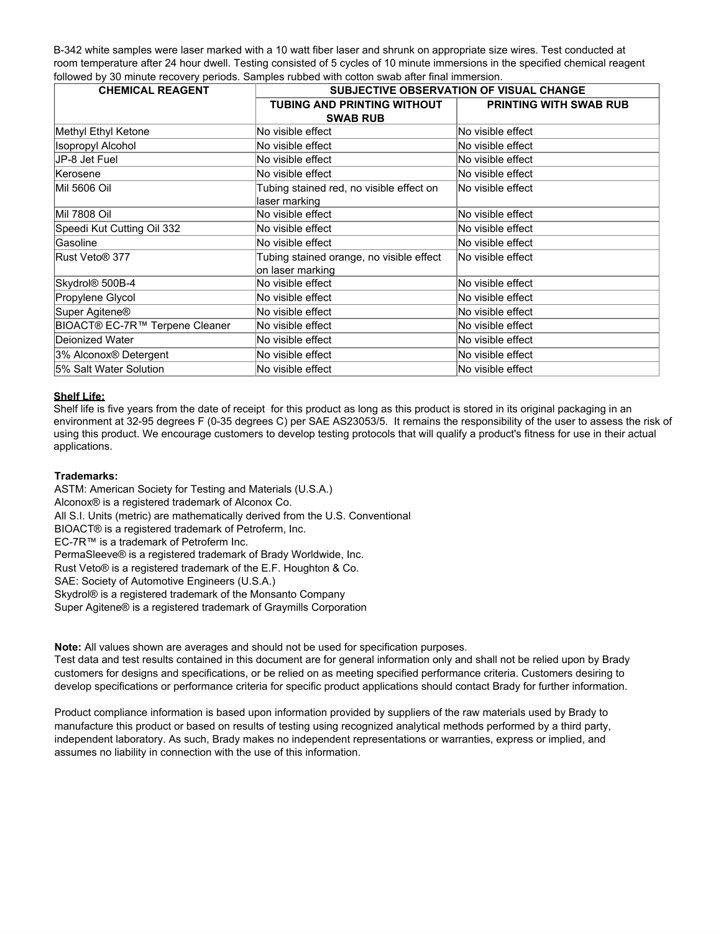B-342 white samples were laser marked with a 10 watt fiber laser and shrunk on appropriate size wires. Test conducted at room temperature after 24 hour dwell. Testing consisted of 5 cycles of 10 minute immersions in the specified chemical reagent followed by 30 minute recovery periods. Samples rubbed with cotton swab after final immersion.

| <b>CHEMICAL REAGENT</b>               | <b>SUBJECTIVE OBSERVATION OF VISUAL CHANGE</b>               |                        |
|---------------------------------------|--------------------------------------------------------------|------------------------|
|                                       | <b>TUBING AND PRINTING WITHOUT</b><br><b>SWAB RUB</b>        | PRINTING WITH SWAB RUB |
| Methyl Ethyl Ketone                   | No visible effect                                            | No visible effect      |
| <b>Isopropyl Alcohol</b>              | No visible effect                                            | No visible effect      |
| IJP-8 Jet Fuel                        | No visible effect                                            | No visible effect      |
| Kerosene                              | No visible effect                                            | No visible effect      |
| <b>Mil 5606 Oil</b>                   | Tubing stained red, no visible effect on<br>laser marking    | No visible effect      |
| <b>Mil 7808 Oil</b>                   | No visible effect                                            | No visible effect      |
| Speedi Kut Cutting Oil 332            | No visible effect                                            | No visible effect      |
| Gasoline                              | No visible effect                                            | No visible effect      |
| <b>Rust Veto® 377</b>                 | Tubing stained orange, no visible effect<br>on laser marking | No visible effect      |
| Skydrol® 500B-4                       | No visible effect                                            | No visible effect      |
| Propylene Glycol                      | No visible effect                                            | No visible effect      |
| Super Agitene <sup>®</sup>            | No visible effect                                            | No visible effect      |
| <b>BIOACT® EC-7R™ Terpene Cleaner</b> | No visible effect                                            | No visible effect      |
| Deionized Water                       | No visible effect                                            | No visible effect      |
| 3% Alconox® Detergent                 | No visible effect                                            | No visible effect      |
| 5% Salt Water Solution                | No visible effect                                            | No visible effect      |

### **Shelf Life:**

Shelf life is five years from the date of receipt for this product as long as this product is stored in its original packaging in an environment at 32-95 degrees F (0-35 degrees C) per SAE AS23053/5. It remains the responsibility of the user to assess the risk of using this product. We encourage customers to develop testing protocols that will qualify a product's fitness for use in their actual applications.

### **Trademarks:**

ASTM: American Society for Testing and Materials (U.S.A.) Alconox® is a registered trademark of Alconox Co. All S.I. Units (metric) are mathematically derived from the U.S. Conventional BIOACT® is a registered trademark of Petroferm, Inc. EC-7R™ is a trademark of Petroferm Inc. PermaSleeve® is a registered trademark of Brady Worldwide, Inc. Rust Veto® is a registered trademark of the E.F. Houghton & Co. SAE: Society of Automotive Engineers (U.S.A.) Skydrol® is a registered trademark of the Monsanto Company Super Agitene® is a registered trademark of Graymills Corporation

**Note:** All values shown are averages and should not be used for specification purposes.

Test data and test results contained in this document are for general information only and shall not be relied upon by Brady customers for designs and specifications, or be relied on as meeting specified performance criteria. Customers desiring to develop specifications or performance criteria for specific product applications should contact Brady for further information.

Product compliance information is based upon information provided by suppliers of the raw materials used by Brady to manufacture this product or based on results of testing using recognized analytical methods performed by a third party, independent laboratory. As such, Brady makes no independent representations or warranties, express or implied, and assumes no liability in connection with the use of this information.